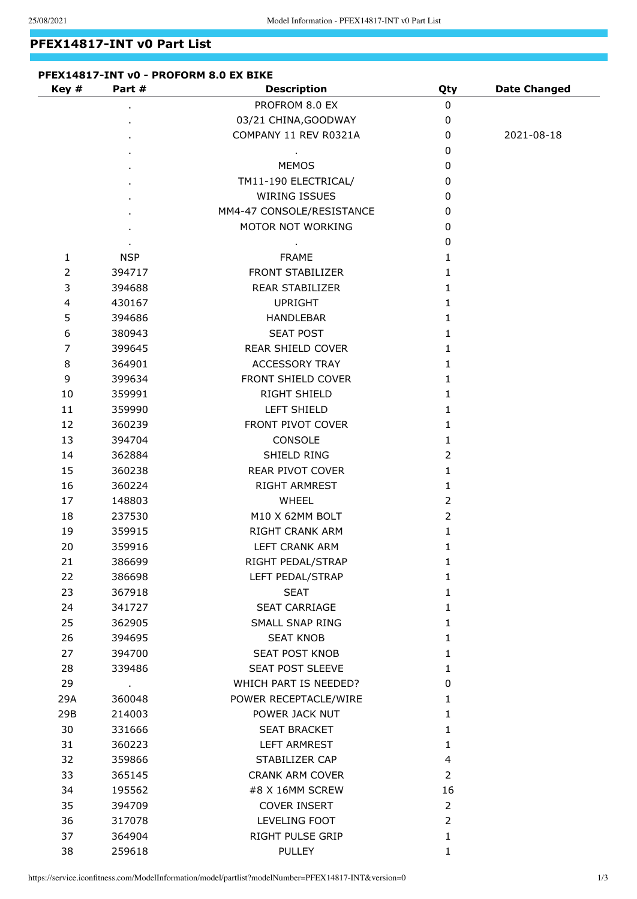## **PFEX14817-INT v0 Part List**

| Key #          | Part #         | <b>Description</b>        | Qty            | <b>Date Changed</b> |
|----------------|----------------|---------------------------|----------------|---------------------|
|                |                | PROFROM 8.0 EX            | $\pmb{0}$      |                     |
|                |                | 03/21 CHINA, GOODWAY      | 0              |                     |
|                |                | COMPANY 11 REV R0321A     | 0              | 2021-08-18          |
|                |                |                           | 0              |                     |
|                |                | <b>MEMOS</b>              | 0              |                     |
|                |                | TM11-190 ELECTRICAL/      | 0              |                     |
|                |                | <b>WIRING ISSUES</b>      | 0              |                     |
|                |                | MM4-47 CONSOLE/RESISTANCE | 0              |                     |
|                |                | MOTOR NOT WORKING         | 0              |                     |
|                |                |                           | 0              |                     |
| 1              | <b>NSP</b>     | <b>FRAME</b>              | 1              |                     |
| $\overline{2}$ | 394717         | FRONT STABILIZER          | 1              |                     |
| 3              | 394688         | <b>REAR STABILIZER</b>    | 1              |                     |
| 4              | 430167         | <b>UPRIGHT</b>            | 1              |                     |
| 5              | 394686         | <b>HANDLEBAR</b>          | 1              |                     |
| 6              | 380943         | <b>SEAT POST</b>          | 1              |                     |
| 7              | 399645         | <b>REAR SHIELD COVER</b>  | 1              |                     |
| 8              | 364901         | <b>ACCESSORY TRAY</b>     | 1              |                     |
| 9              | 399634         | FRONT SHIELD COVER        | 1              |                     |
| 10             | 359991         | RIGHT SHIELD              | 1              |                     |
| 11             | 359990         | LEFT SHIELD               | 1              |                     |
| 12             | 360239         | FRONT PIVOT COVER         | 1              |                     |
| 13             | 394704         | CONSOLE                   | 1              |                     |
| 14             | 362884         | SHIELD RING               | $\overline{2}$ |                     |
| 15             | 360238         | REAR PIVOT COVER          | 1              |                     |
| 16             | 360224         | RIGHT ARMREST             | 1              |                     |
| 17             | 148803         | WHEEL                     | $\overline{2}$ |                     |
| 18             | 237530         | M10 X 62MM BOLT           | $\overline{2}$ |                     |
| 19             | 359915         | RIGHT CRANK ARM           | 1              |                     |
| 20             | 359916         | LEFT CRANK ARM            | 1              |                     |
| 21             | 386699         | RIGHT PEDAL/STRAP         | 1              |                     |
| 22             | 386698         | LEFT PEDAL/STRAP          | $\mathbf{1}$   |                     |
| 23             | 367918         | SEAT                      | 1              |                     |
| 24             | 341727         | <b>SEAT CARRIAGE</b>      | 1              |                     |
| 25             | 362905         | SMALL SNAP RING           | $\mathbf{1}$   |                     |
| 26             | 394695         | <b>SEAT KNOB</b>          | 1              |                     |
| 27             | 394700         | <b>SEAT POST KNOB</b>     | 1              |                     |
| 28             | 339486         | <b>SEAT POST SLEEVE</b>   | 1              |                     |
| 29             | $\blacksquare$ | WHICH PART IS NEEDED?     | 0              |                     |
| 29A            | 360048         | POWER RECEPTACLE/WIRE     | $\mathbf{1}$   |                     |
| 29B            | 214003         | POWER JACK NUT            | 1              |                     |
| 30             | 331666         | <b>SEAT BRACKET</b>       | 1              |                     |
| 31             | 360223         | LEFT ARMREST              | $\mathbf{1}$   |                     |
| 32             | 359866         | STABILIZER CAP            | 4              |                     |
| 33             | 365145         | <b>CRANK ARM COVER</b>    | $\overline{2}$ |                     |
| 34             | 195562         | #8 X 16MM SCREW           | 16             |                     |
| 35             | 394709         | <b>COVER INSERT</b>       | $\overline{2}$ |                     |
| 36             | 317078         | LEVELING FOOT             | $\overline{2}$ |                     |
| 37             | 364904         | RIGHT PULSE GRIP          | $\mathbf{1}$   |                     |
| 38             | 259618         | <b>PULLEY</b>             | 1              |                     |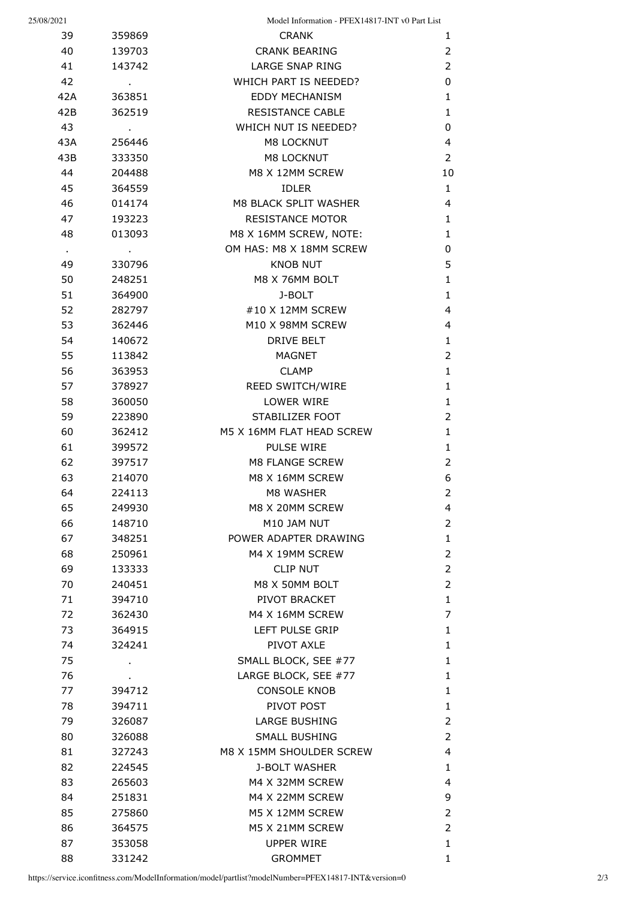| 25/08/2021 |         | Model Information - PFEX14817-INT v0 Part List |                          |
|------------|---------|------------------------------------------------|--------------------------|
| 39         | 359869  | <b>CRANK</b>                                   | 1                        |
| 40         | 139703  | <b>CRANK BEARING</b>                           | $\overline{2}$           |
| 41         | 143742  | <b>LARGE SNAP RING</b>                         | 2                        |
| 42         |         | WHICH PART IS NEEDED?                          | 0                        |
| 42A        | 363851  | <b>EDDY MECHANISM</b>                          | $\mathbf{1}$             |
| 42B        | 362519  | <b>RESISTANCE CABLE</b>                        | $\mathbf{1}$             |
| 43         | $\cdot$ | WHICH NUT IS NEEDED?                           | 0                        |
| 43A        | 256446  | M8 LOCKNUT                                     | 4                        |
| 43B        | 333350  | M8 LOCKNUT                                     | 2                        |
| 44         | 204488  | M8 X 12MM SCREW                                | 10                       |
| 45         | 364559  | <b>IDLER</b>                                   | $\mathbf{1}$             |
| 46         | 014174  | M8 BLACK SPLIT WASHER                          | 4                        |
| 47         | 193223  | <b>RESISTANCE MOTOR</b>                        | $\mathbf{1}$             |
| 48         | 013093  | M8 X 16MM SCREW, NOTE:                         | $\mathbf{1}$             |
| $\sim$     |         | OM HAS: M8 X 18MM SCREW                        | 0                        |
| 49         | 330796  | <b>KNOB NUT</b>                                | 5                        |
| 50         | 248251  | M8 X 76MM BOLT                                 | $\mathbf{1}$             |
| 51         | 364900  | J-BOLT                                         | $\mathbf{1}$             |
| 52         | 282797  | #10 X 12MM SCREW                               | 4                        |
| 53         | 362446  | M10 X 98MM SCREW                               | 4                        |
| 54         | 140672  | DRIVE BELT                                     | $\mathbf{1}$             |
| 55         | 113842  | <b>MAGNET</b>                                  | $\overline{2}$           |
| 56         | 363953  | <b>CLAMP</b>                                   | $\mathbf{1}$             |
| 57         | 378927  | REED SWITCH/WIRE                               | $\mathbf{1}$             |
| 58         | 360050  | LOWER WIRE                                     | $\mathbf{1}$             |
| 59         | 223890  | STABILIZER FOOT                                | $\overline{2}$           |
| 60         | 362412  | M5 X 16MM FLAT HEAD SCREW                      | $\mathbf{1}$             |
| 61         | 399572  | <b>PULSE WIRE</b>                              | $\mathbf{1}$             |
| 62         | 397517  | M8 FLANGE SCREW                                | $\overline{2}$           |
| 63         | 214070  | M8 X 16MM SCREW                                | 6                        |
| 64         | 224113  | M8 WASHER                                      | $\overline{2}$           |
| 65         | 249930  | M8 X 20MM SCREW                                | $\overline{\mathcal{A}}$ |
| 66         | 148710  | M10 JAM NUT                                    | $\overline{2}$           |
| 67         | 348251  | POWER ADAPTER DRAWING                          | $\mathbf{1}$             |
| 68         | 250961  | M4 X 19MM SCREW                                | $\overline{2}$           |
| 69         | 133333  | <b>CLIP NUT</b>                                | $\overline{2}$           |
| 70         |         | M8 X 50MM BOLT                                 | $\overline{2}$           |
|            | 240451  |                                                |                          |
| 71         | 394710  | PIVOT BRACKET<br>M4 X 16MM SCREW               | $\mathbf{1}$             |
| 72         | 362430  |                                                | 7                        |
| 73         | 364915  | LEFT PULSE GRIP                                | $\mathbf{1}$             |
| 74         | 324241  | PIVOT AXLE                                     | $\mathbf{1}$             |
| 75         |         | SMALL BLOCK, SEE #77                           | $\mathbf{1}$             |
| 76         |         | LARGE BLOCK, SEE #77                           | $\mathbf{1}$             |
| 77         | 394712  | <b>CONSOLE KNOB</b>                            | $\mathbf{1}$             |
| 78         | 394711  | PIVOT POST                                     | $\mathbf{1}$             |
| 79         | 326087  | LARGE BUSHING                                  | $\overline{2}$           |
| 80         | 326088  | <b>SMALL BUSHING</b>                           | $\overline{2}$           |
| 81         | 327243  | M8 X 15MM SHOULDER SCREW                       | $\overline{4}$           |
| 82         | 224545  | J-BOLT WASHER                                  | $\mathbf{1}$             |
| 83         | 265603  | M4 X 32MM SCREW                                | 4                        |
| 84         | 251831  | M4 X 22MM SCREW                                | 9                        |
| 85         | 275860  | M5 X 12MM SCREW                                | $\overline{2}$           |
| 86         | 364575  | M5 X 21MM SCREW                                | $\overline{2}$           |
| 87         | 353058  | <b>UPPER WIRE</b>                              | $\mathbf{1}$             |
| 88         | 331242  | <b>GROMMET</b>                                 | 1                        |